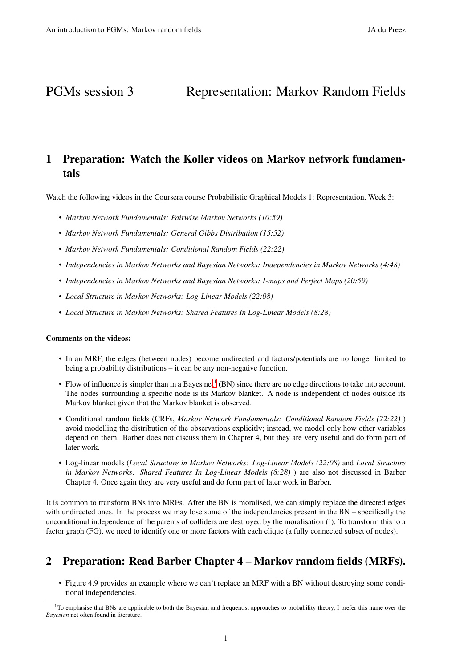# PGMs session 3 Representation: Markov Random Fields

# 1 Preparation: Watch the Koller videos on Markov network fundamentals

Watch the following videos in the Coursera course Probabilistic Graphical Models 1: Representation, Week 3:

- *Markov Network Fundamentals: Pairwise Markov Networks (10:59)*
- *Markov Network Fundamentals: General Gibbs Distribution (15:52)*
- *Markov Network Fundamentals: Conditional Random Fields (22:22)*
- *Independencies in Markov Networks and Bayesian Networks: Independencies in Markov Networks (4:48)*
- *Independencies in Markov Networks and Bayesian Networks: I-maps and Perfect Maps (20:59)*
- *Local Structure in Markov Networks: Log-Linear Models (22:08)*
- *Local Structure in Markov Networks: Shared Features In Log-Linear Models (8:28)*

#### Comments on the videos:

- In an MRF, the edges (between nodes) become undirected and factors/potentials are no longer limited to being a probability distributions – it can be any non-negative function.
- Flow of influence is simpler than in a Bayes net<sup>[1](#page-0-0)</sup> (BN) since there are no edge directions to take into account. The nodes surrounding a specific node is its Markov blanket. A node is independent of nodes outside its Markov blanket given that the Markov blanket is observed.
- Conditional random fields (CRFs, *Markov Network Fundamentals: Conditional Random Fields (22:22)* ) avoid modelling the distribution of the observations explicitly; instead, we model only how other variables depend on them. Barber does not discuss them in Chapter 4, but they are very useful and do form part of later work.
- Log-linear models (*Local Structure in Markov Networks: Log-Linear Models (22:08)* and *Local Structure in Markov Networks: Shared Features In Log-Linear Models (8:28)* ) are also not discussed in Barber Chapter 4. Once again they are very useful and do form part of later work in Barber.

It is common to transform BNs into MRFs. After the BN is moralised, we can simply replace the directed edges with undirected ones. In the process we may lose some of the independencies present in the BN – specifically the unconditional independence of the parents of colliders are destroyed by the moralisation (!). To transform this to a factor graph (FG), we need to identify one or more factors with each clique (a fully connected subset of nodes).

# 2 Preparation: Read Barber Chapter 4 – Markov random fields (MRFs).

• Figure 4.9 provides an example where we can't replace an MRF with a BN without destroying some conditional independencies.

<span id="page-0-0"></span><sup>&</sup>lt;sup>1</sup>To emphasise that BNs are applicable to both the Bayesian and frequentist approaches to probability theory, I prefer this name over the *Bayesian* net often found in literature.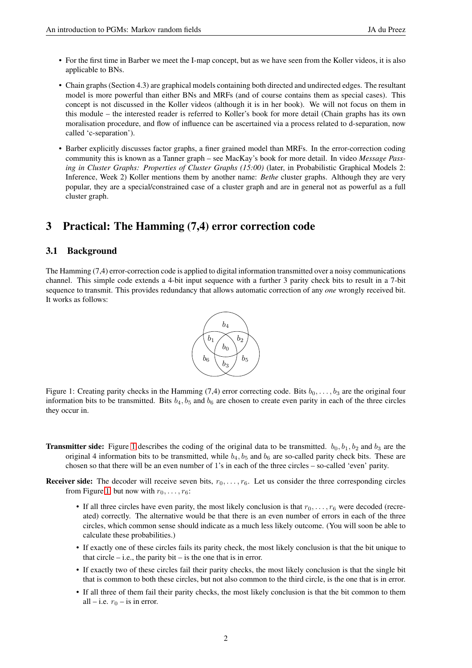- For the first time in Barber we meet the I-map concept, but as we have seen from the Koller videos, it is also applicable to BNs.
- Chain graphs (Section 4.3) are graphical models containing both directed and undirected edges. The resultant model is more powerful than either BNs and MRFs (and of course contains them as special cases). This concept is not discussed in the Koller videos (although it is in her book). We will not focus on them in this module – the interested reader is referred to Koller's book for more detail (Chain graphs has its own moralisation procedure, and flow of influence can be ascertained via a process related to d-separation, now called 'c-separation').
- Barber explicitly discusses factor graphs, a finer grained model than MRFs. In the error-correction coding community this is known as a Tanner graph – see MacKay's book for more detail. In video *Message Passing in Cluster Graphs: Properties of Cluster Graphs (15:00)* (later, in Probabilistic Graphical Models 2: Inference, Week 2) Koller mentions them by another name: *Bethe* cluster graphs. Although they are very popular, they are a special/constrained case of a cluster graph and are in general not as powerful as a full cluster graph.

## 3 Practical: The Hamming (7,4) error correction code

#### 3.1 Background

The Hamming (7,4) error-correction code is applied to digital information transmitted over a noisy communications channel. This simple code extends a 4-bit input sequence with a further 3 parity check bits to result in a 7-bit sequence to transmit. This provides redundancy that allows automatic correction of any *one* wrongly received bit. It works as follows:



<span id="page-1-0"></span>Figure 1: Creating parity checks in the Hamming (7,4) error correcting code. Bits  $b_0, \ldots, b_3$  are the original four information bits to be transmitted. Bits  $b_4$ ,  $b_5$  and  $b_6$  are chosen to create even parity in each of the three circles they occur in.

- **Transmitter side:** Figure [1](#page-1-0) describes the coding of the original data to be transmitted.  $b_0$ ,  $b_1$ ,  $b_2$  and  $b_3$  are the original 4 information bits to be transmitted, while  $b_4$ ,  $b_5$  and  $b_6$  are so-called parity check bits. These are chosen so that there will be an even number of 1's in each of the three circles – so-called 'even' parity.
- **Receiver side:** The decoder will receive seven bits,  $r_0, \ldots, r_6$ . Let us consider the three corresponding circles from Figure [1,](#page-1-0) but now with  $r_0, \ldots, r_6$ :
	- If all three circles have even parity, the most likely conclusion is that  $r_0, \ldots, r_6$  were decoded (recreated) correctly. The alternative would be that there is an even number of errors in each of the three circles, which common sense should indicate as a much less likely outcome. (You will soon be able to calculate these probabilities.)
	- If exactly one of these circles fails its parity check, the most likely conclusion is that the bit unique to that circle  $-$  i.e., the parity bit  $-$  is the one that is in error.
	- If exactly two of these circles fail their parity checks, the most likely conclusion is that the single bit that is common to both these circles, but not also common to the third circle, is the one that is in error.
	- If all three of them fail their parity checks, the most likely conclusion is that the bit common to them all – i.e.  $r_0$  – is in error.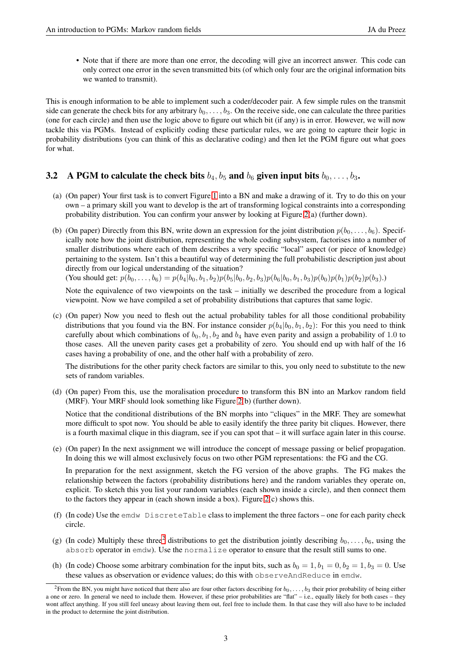• Note that if there are more than one error, the decoding will give an incorrect answer. This code can only correct one error in the seven transmitted bits (of which only four are the original information bits we wanted to transmit).

This is enough information to be able to implement such a coder/decoder pair. A few simple rules on the transmit side can generate the check bits for any arbitrary  $b_0, \ldots, b_3$ . On the receive side, one can calculate the three parities (one for each circle) and then use the logic above to figure out which bit (if any) is in error. However, we will now tackle this via PGMs. Instead of explicitly coding these particular rules, we are going to capture their logic in probability distributions (you can think of this as declarative coding) and then let the PGM figure out what goes for what.

### **3.2** A PGM to calculate the check bits  $b_4$ ,  $b_5$  and  $b_6$  given input bits  $b_0, \ldots, b_3$ .

- (a) (On paper) Your first task is to convert Figure [1](#page-1-0) into a BN and make a drawing of it. Try to do this on your own – a primary skill you want to develop is the art of transforming logical constraints into a corresponding probability distribution. You can confirm your answer by looking at Figure [2\(](#page-3-0)a) (further down).
- (b) (On paper) Directly from this BN, write down an expression for the joint distribution  $p(b_0, \ldots, b_6)$ . Specifically note how the joint distribution, representing the whole coding subsystem, factorises into a number of smaller distributions where each of them describes a very specific "local" aspect (or piece of knowledge) pertaining to the system. Isn't this a beautiful way of determining the full probabilistic description just about directly from our logical understanding of the situation?

(You should get:  $p(b_0, \ldots, b_6) = p(b_4|b_0, b_1, b_2)p(b_5|b_0, b_2, b_3)p(b_6|b_0, b_1, b_3)p(b_0)p(b_1)p(b_2)p(b_3).$ )

Note the equivalence of two viewpoints on the task – initially we described the procedure from a logical viewpoint. Now we have compiled a set of probability distributions that captures that same logic.

(c) (On paper) Now you need to flesh out the actual probability tables for all those conditional probability distributions that you found via the BN. For instance consider  $p(b_4|b_0, b_1, b_2)$ : For this you need to think carefully about which combinations of  $b_0$ ,  $b_1$ ,  $b_2$  and  $b_4$  have even parity and assign a probability of 1.0 to those cases. All the uneven parity cases get a probability of zero. You should end up with half of the 16 cases having a probability of one, and the other half with a probability of zero.

The distributions for the other parity check factors are similar to this, you only need to substitute to the new sets of random variables.

(d) (On paper) From this, use the moralisation procedure to transform this BN into an Markov random field (MRF). Your MRF should look something like Figure [2\(](#page-3-0)b) (further down).

Notice that the conditional distributions of the BN morphs into "cliques" in the MRF. They are somewhat more difficult to spot now. You should be able to easily identify the three parity bit cliques. However, there is a fourth maximal clique in this diagram, see if you can spot that – it will surface again later in this course.

(e) (On paper) In the next assignment we will introduce the concept of message passing or belief propagation. In doing this we will almost exclusively focus on two other PGM representations: the FG and the CG.

In preparation for the next assignment, sketch the FG version of the above graphs. The FG makes the relationship between the factors (probability distributions here) and the random variables they operate on, explicit. To sketch this you list your random variables (each shown inside a circle), and then connect them to the factors they appear in (each shown inside a box). Figure  $2(c)$  shows this.

- (f) (In code) Use the emdw DiscreteTable class to implement the three factors one for each parity check circle.
- (g) (In code) Multiply these three<sup>[2](#page-2-0)</sup> distributions to get the distribution jointly describing  $b_0, \ldots, b_6$ , using the absorb operator in emdw). Use the normalize operator to ensure that the result still sums to one.
- (h) (In code) Choose some arbitrary combination for the input bits, such as  $b_0 = 1$ ,  $b_1 = 0$ ,  $b_2 = 1$ ,  $b_3 = 0$ . Use these values as observation or evidence values; do this with observeAndReduce in emdw.

<span id="page-2-0"></span><sup>&</sup>lt;sup>2</sup>From the BN, you might have noticed that there also are four other factors describing for  $b_0, \ldots, b_3$  their prior probability of being either a one or zero. In general we need to include them. However, if these prior probabilities are "flat" – i.e., equally likely for both cases – they wont affect anything. If you still feel uneasy about leaving them out, feel free to include them. In that case they will also have to be included in the product to determine the joint distribution.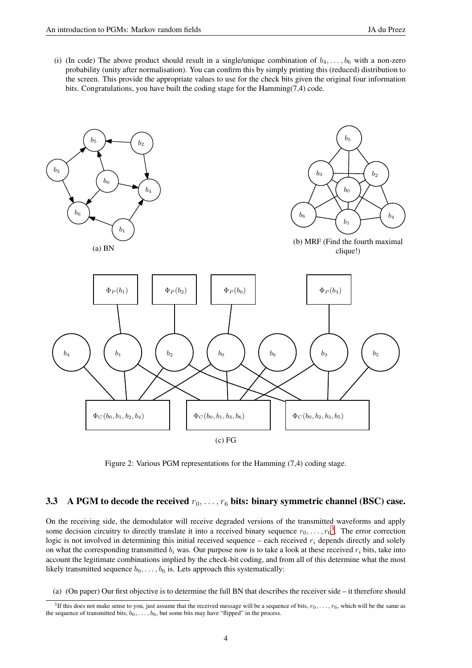(i) (In code) The above product should result in a single/unique combination of  $b_4, \ldots, b_6$  with a non-zero probability (unity after normalisation). You can confirm this by simply printing this (reduced) distribution to the screen. This provide the appropriate values to use for the check bits given the original four information bits. Congratulations, you have built the coding stage for the  $Hamming(7,4)$  code.



<span id="page-3-0"></span>Figure 2: Various PGM representations for the Hamming (7,4) coding stage.

### <span id="page-3-2"></span>3.3 A PGM to decode the received  $r_0, \ldots, r_6$  bits: binary symmetric channel (BSC) case.

On the receiving side, the demodulator will receive degraded versions of the transmitted waveforms and apply some decision circuitry to directly translate it into a received binary sequence  $r_0, \ldots, r_6^3$  $r_0, \ldots, r_6^3$ . The error correction logic is not involved in determining this initial received sequence – each received  $r_i$  depends directly and solely on what the corresponding transmitted  $b_i$  was. Our purpose now is to take a look at these received  $r_i$  bits, take into account the legitimate combinations implied by the check-bit coding, and from all of this determine what the most likely transmitted sequence  $b_0, \ldots, b_6$  is. Lets approach this systematically:

(a) (On paper) Our first objective is to determine the full BN that describes the receiver side – it therefore should

<span id="page-3-1"></span><sup>&</sup>lt;sup>3</sup>If this does not make sense to you, just assume that the received message will be a sequence of bits,  $r_0, \ldots, r_6$ , which will be the same as the sequence of transmitted bits,  $b_0, \ldots, b_6$ , but some bits may have "flipped" in the process.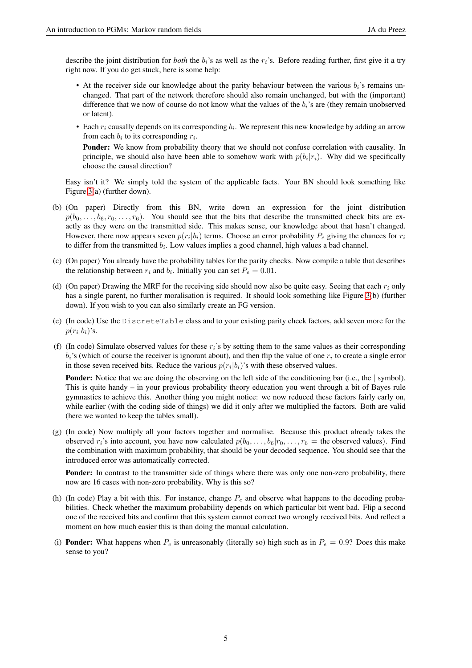describe the joint distribution for *both* the  $b_i$ 's as well as the  $r_i$ 's. Before reading further, first give it a try right now. If you do get stuck, here is some help:

- At the receiver side our knowledge about the parity behaviour between the various  $b_i$ 's remains unchanged. That part of the network therefore should also remain unchanged, but with the (important) difference that we now of course do not know what the values of the  $b_i$ 's are (they remain unobserved or latent).
- Each  $r_i$  causally depends on its corresponding  $b_i$ . We represent this new knowledge by adding an arrow from each  $b_i$  to its corresponding  $r_i$ .

Ponder: We know from probability theory that we should not confuse correlation with causality. In principle, we should also have been able to somehow work with  $p(b_i|r_i)$ . Why did we specifically choose the causal direction?

Easy isn't it? We simply told the system of the applicable facts. Your BN should look something like Figure [3\(](#page-5-0)a) (further down).

- (b) (On paper) Directly from this BN, write down an expression for the joint distribution  $p(b_0, \ldots, b_6, r_0, \ldots, r_6)$ . You should see that the bits that describe the transmitted check bits are exactly as they were on the transmitted side. This makes sense, our knowledge about that hasn't changed. However, there now appears seven  $p(r_i|b_i)$  terms. Choose an error probability  $P_e$  giving the chances for  $r_i$ to differ from the transmitted  $b_i$ . Low values implies a good channel, high values a bad channel.
- (c) (On paper) You already have the probability tables for the parity checks. Now compile a table that describes the relationship between  $r_i$  and  $b_i$ . Initially you can set  $P_e = 0.01$ .
- (d) (On paper) Drawing the MRF for the receiving side should now also be quite easy. Seeing that each  $r_i$  only has a single parent, no further moralisation is required. It should look something like Figure [3\(](#page-5-0)b) (further down). If you wish to you can also similarly create an FG version.
- (e) (In code) Use the DiscreteTable class and to your existing parity check factors, add seven more for the  $p(r_i|b_i)$ 's.
- (f) (In code) Simulate observed values for these  $r_i$ 's by setting them to the same values as their corresponding  $b_i$ 's (which of course the receiver is ignorant about), and then flip the value of one  $r_i$  to create a single error in those seven received bits. Reduce the various  $p(r_i|b_i)$ 's with these observed values.

**Ponder:** Notice that we are doing the observing on the left side of the conditioning bar (i.e., the | symbol). This is quite handy – in your previous probability theory education you went through a bit of Bayes rule gymnastics to achieve this. Another thing you might notice: we now reduced these factors fairly early on, while earlier (with the coding side of things) we did it only after we multiplied the factors. Both are valid (here we wanted to keep the tables small).

(g) (In code) Now multiply all your factors together and normalise. Because this product already takes the observed  $r_i$ 's into account, you have now calculated  $p(b_0, \ldots, b_6|r_0, \ldots, r_6 =$  the observed values). Find the combination with maximum probability, that should be your decoded sequence. You should see that the introduced error was automatically corrected.

Ponder: In contrast to the transmitter side of things where there was only one non-zero probability, there now are 16 cases with non-zero probability. Why is this so?

- (h) (In code) Play a bit with this. For instance, change  $P_e$  and observe what happens to the decoding probabilities. Check whether the maximum probability depends on which particular bit went bad. Flip a second one of the received bits and confirm that this system cannot correct two wrongly received bits. And reflect a moment on how much easier this is than doing the manual calculation.
- (i) **Ponder:** What happens when  $P_e$  is unreasonably (literally so) high such as in  $P_e = 0.9$ ? Does this make sense to you?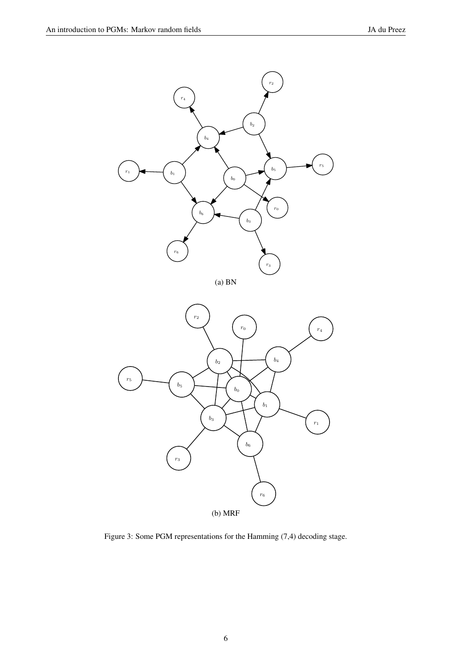



<span id="page-5-0"></span>Figure 3: Some PGM representations for the Hamming (7,4) decoding stage.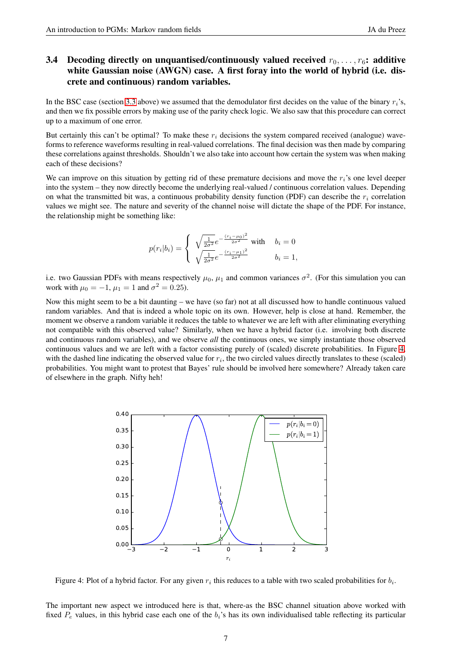### 3.4 Decoding directly on unquantised/continuously valued received  $r_0, \ldots, r_6$ : additive white Gaussian noise (AWGN) case. A first foray into the world of hybrid (i.e. discrete and continuous) random variables.

In the BSC case (section [3.3](#page-3-2) above) we assumed that the demodulator first decides on the value of the binary  $r_i$ 's, and then we fix possible errors by making use of the parity check logic. We also saw that this procedure can correct up to a maximum of one error.

But certainly this can't be optimal? To make these  $r_i$  decisions the system compared received (analogue) waveforms to reference waveforms resulting in real-valued correlations. The final decision was then made by comparing these correlations against thresholds. Shouldn't we also take into account how certain the system was when making each of these decisions?

We can improve on this situation by getting rid of these premature decisions and move the  $r_i$ 's one level deeper into the system – they now directly become the underlying real-valued / continuous correlation values. Depending on what the transmitted bit was, a continuous probability density function (PDF) can describe the  $r_i$  correlation values we might see. The nature and severity of the channel noise will dictate the shape of the PDF. For instance, the relationship might be something like:

$$
p(r_i|b_i) = \begin{cases} \sqrt{\frac{1}{2\sigma^2}} e^{-\frac{(r_i - \mu_0)^2}{2\sigma^2}} \text{ with } b_i = 0\\ \sqrt{\frac{1}{2\sigma^2}} e^{-\frac{(r_i - \mu_1)^2}{2\sigma^2}} \qquad b_i = 1, \end{cases}
$$

i.e. two Gaussian PDFs with means respectively  $\mu_0$ ,  $\mu_1$  and common variances  $\sigma^2$ . (For this simulation you can work with  $\mu_0 = -1$ ,  $\mu_1 = 1$  and  $\sigma^2 = 0.25$ ).

Now this might seem to be a bit daunting – we have (so far) not at all discussed how to handle continuous valued random variables. And that is indeed a whole topic on its own. However, help is close at hand. Remember, the moment we observe a random variable it reduces the table to whatever we are left with after eliminating everything not compatible with this observed value? Similarly, when we have a hybrid factor (i.e. involving both discrete and continuous random variables), and we observe *all* the continuous ones, we simply instantiate those observed continuous values and we are left with a factor consisting purely of (scaled) discrete probabilities. In Figure [4,](#page-6-0) with the dashed line indicating the observed value for  $r_i$ , the two circled values directly translates to these (scaled) probabilities. You might want to protest that Bayes' rule should be involved here somewhere? Already taken care of elsewhere in the graph. Nifty heh!



<span id="page-6-0"></span>Figure 4: Plot of a hybrid factor. For any given  $r_i$  this reduces to a table with two scaled probabilities for  $b_i$ .

The important new aspect we introduced here is that, where-as the BSC channel situation above worked with fixed  $P_e$  values, in this hybrid case each one of the  $b_i$ 's has its own individualised table reflecting its particular